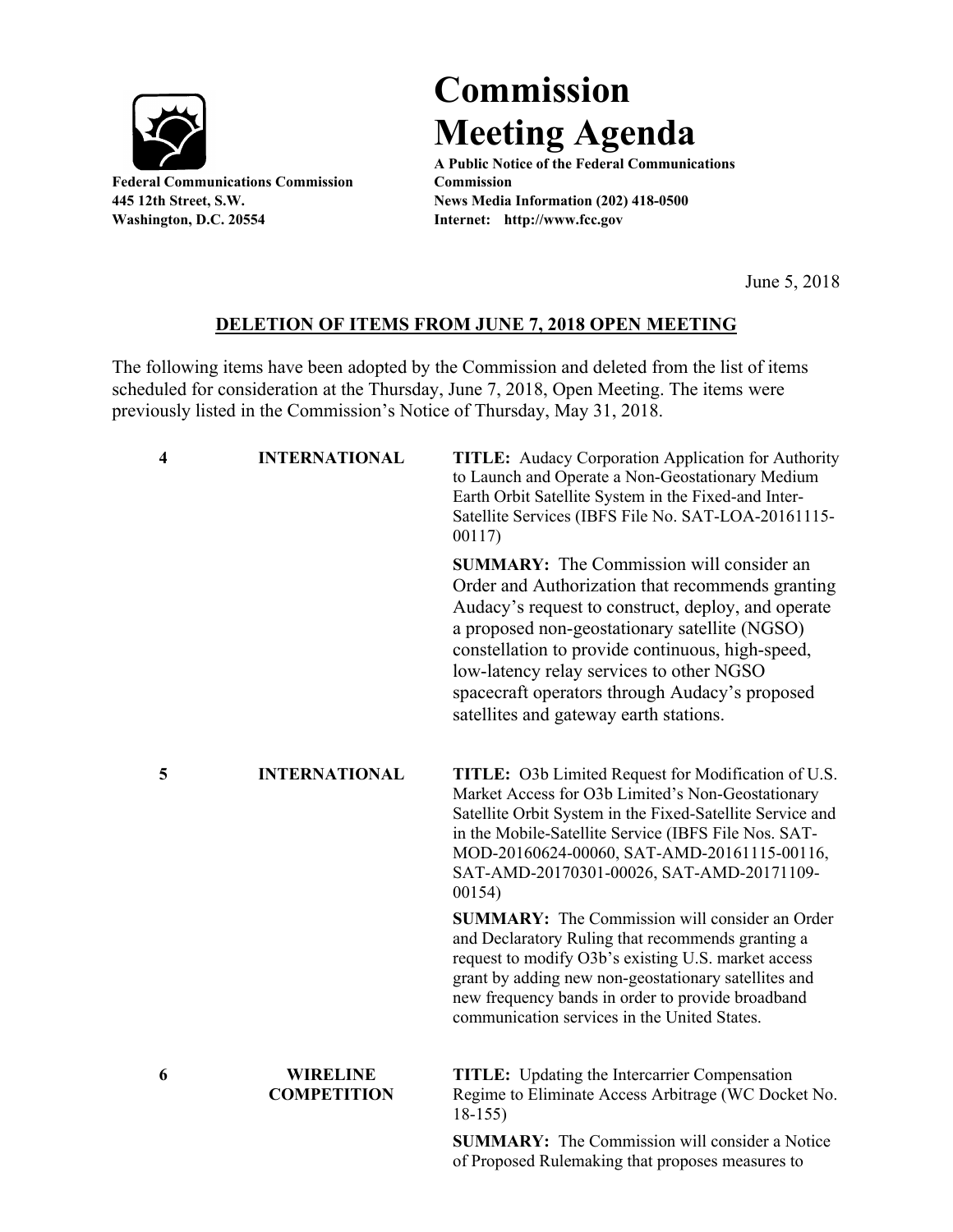

**Federal Communications Commission Commission Washington, D.C. 20554 Internet: http://www.fcc.gov**

## **Commission Meeting Agenda**

**A Public Notice of the Federal Communications 445 12th Street, S.W. News Media Information (202) 418-0500**

June 5, 2018

## **DELETION OF ITEMS FROM JUNE 7, 2018 OPEN MEETING**

The following items have been adopted by the Commission and deleted from the list of items scheduled for consideration at the Thursday, June 7, 2018, Open Meeting. The items were previously listed in the Commission's Notice of Thursday, May 31, 2018.

| $\overline{\mathbf{4}}$ | <b>INTERNATIONAL</b>                  | <b>TITLE:</b> Audacy Corporation Application for Authority<br>to Launch and Operate a Non-Geostationary Medium<br>Earth Orbit Satellite System in the Fixed-and Inter-<br>Satellite Services (IBFS File No. SAT-LOA-20161115-<br>00117)                                                                                                                                                                |
|-------------------------|---------------------------------------|--------------------------------------------------------------------------------------------------------------------------------------------------------------------------------------------------------------------------------------------------------------------------------------------------------------------------------------------------------------------------------------------------------|
|                         |                                       | <b>SUMMARY:</b> The Commission will consider an<br>Order and Authorization that recommends granting<br>Audacy's request to construct, deploy, and operate<br>a proposed non-geostationary satellite (NGSO)<br>constellation to provide continuous, high-speed,<br>low-latency relay services to other NGSO<br>spacecraft operators through Audacy's proposed<br>satellites and gateway earth stations. |
| 5                       | <b>INTERNATIONAL</b>                  | <b>TITLE:</b> O3b Limited Request for Modification of U.S.<br>Market Access for O3b Limited's Non-Geostationary<br>Satellite Orbit System in the Fixed-Satellite Service and<br>in the Mobile-Satellite Service (IBFS File Nos. SAT-<br>MOD-20160624-00060, SAT-AMD-20161115-00116,<br>SAT-AMD-20170301-00026, SAT-AMD-20171109-<br>00154)                                                             |
|                         |                                       | <b>SUMMARY:</b> The Commission will consider an Order<br>and Declaratory Ruling that recommends granting a<br>request to modify O3b's existing U.S. market access<br>grant by adding new non-geostationary satellites and<br>new frequency bands in order to provide broadband<br>communication services in the United States.                                                                         |
| 6                       | <b>WIRELINE</b><br><b>COMPETITION</b> | <b>TITLE:</b> Updating the Intercarrier Compensation<br>Regime to Eliminate Access Arbitrage (WC Docket No.<br>$18-155$                                                                                                                                                                                                                                                                                |
|                         |                                       | <b>SUMMARY:</b> The Commission will consider a Notice<br>of Proposed Rulemaking that proposes measures to                                                                                                                                                                                                                                                                                              |